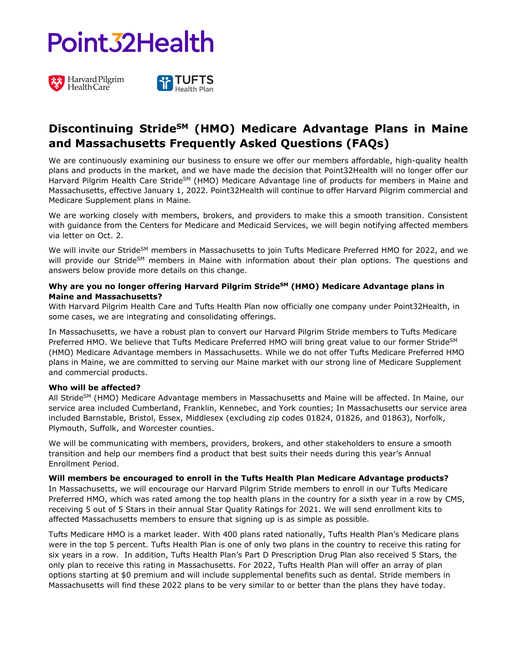## Point 32 Health





### **Discontinuing StrideSM (HMO) Medicare Advantage Plans in Maine and Massachusetts Frequently Asked Questions (FAQs)**

We are continuously examining our business to ensure we offer our members affordable, high-quality health plans and products in the market, and we have made the decision that Point32Health will no longer offer our Harvard Pilgrim Health Care Stride<sup>SM</sup> (HMO) Medicare Advantage line of products for members in Maine and Massachusetts, effective January 1, 2022. Point32Health will continue to offer Harvard Pilgrim commercial and Medicare Supplement plans in Maine.

We are working closely with members, brokers, and providers to make this a smooth transition. Consistent with guidance from the Centers for Medicare and Medicaid Services, we will begin notifying affected members via letter on Oct. 2.

We will invite our Stride<sup>SM</sup> members in Massachusetts to join Tufts Medicare Preferred HMO for 2022, and we will provide our Stride<sup>SM</sup> members in Maine with information about their plan options. The questions and answers below provide more details on this change.

### **Why are you no longer offering Harvard Pilgrim StrideSM (HMO) Medicare Advantage plans in Maine and Massachusetts?**

With Harvard Pilgrim Health Care and Tufts Health Plan now officially one company under Point32Health, in some cases, we are integrating and consolidating offerings.

In Massachusetts, we have a robust plan to convert our Harvard Pilgrim Stride members to Tufts Medicare Preferred HMO. We believe that Tufts Medicare Preferred HMO will bring great value to our former Stride<sup>SM</sup> (HMO) Medicare Advantage members in Massachusetts. While we do not offer Tufts Medicare Preferred HMO plans in Maine, we are committed to serving our Maine market with our strong line of Medicare Supplement and commercial products.

### **Who will be affected?**

All Stride<sup>SM</sup> (HMO) Medicare Advantage members in Massachusetts and Maine will be affected. In Maine, our service area included Cumberland, Franklin, Kennebec, and York counties; In Massachusetts our service area included Barnstable, Bristol, Essex, Middlesex (excluding zip codes 01824, 01826, and 01863), Norfolk, Plymouth, Suffolk, and Worcester counties.

We will be communicating with members, providers, brokers, and other stakeholders to ensure a smooth transition and help our members find a product that best suits their needs during this year's Annual Enrollment Period.

### **Will members be encouraged to enroll in the Tufts Health Plan Medicare Advantage products?**

In Massachusetts, we will encourage our Harvard Pilgrim Stride members to enroll in our Tufts Medicare Preferred HMO, which was rated among the top health plans in the country for a sixth year in a row by CMS, receiving 5 out of 5 Stars in their annual Star Quality Ratings for 2021. We will send enrollment kits to affected Massachusetts members to ensure that signing up is as simple as possible.

Tufts Medicare HMO is a market leader. With 400 plans rated nationally, Tufts Health Plan's Medicare plans were in the top 5 percent. Tufts Health Plan is one of only two plans in the country to receive this rating for six years in a row. In addition, Tufts Health Plan's Part D Prescription Drug Plan also received 5 Stars, the only plan to receive this rating in Massachusetts. For 2022, Tufts Health Plan will offer an array of plan options starting at \$0 premium and will include supplemental benefits such as dental. Stride members in Massachusetts will find these 2022 plans to be very similar to or better than the plans they have today.